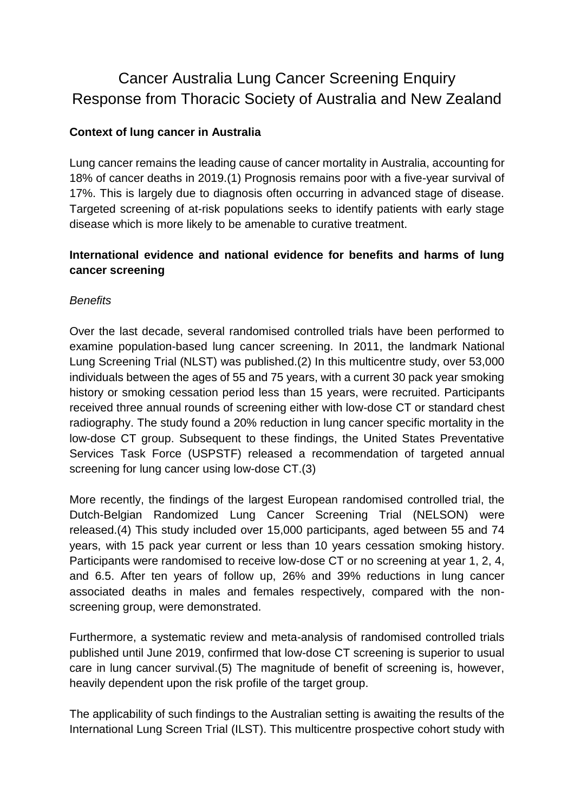# Cancer Australia Lung Cancer Screening Enquiry Response from Thoracic Society of Australia and New Zealand

## **Context of lung cancer in Australia**

Lung cancer remains the leading cause of cancer mortality in Australia, accounting for 18% of cancer deaths in 2019.(1) Prognosis remains poor with a five-year survival of 17%. This is largely due to diagnosis often occurring in advanced stage of disease. Targeted screening of at-risk populations seeks to identify patients with early stage disease which is more likely to be amenable to curative treatment.

## **International evidence and national evidence for benefits and harms of lung cancer screening**

#### *Benefits*

Over the last decade, several randomised controlled trials have been performed to examine population-based lung cancer screening. In 2011, the landmark National Lung Screening Trial (NLST) was published.(2) In this multicentre study, over 53,000 individuals between the ages of 55 and 75 years, with a current 30 pack year smoking history or smoking cessation period less than 15 years, were recruited. Participants received three annual rounds of screening either with low-dose CT or standard chest radiography. The study found a 20% reduction in lung cancer specific mortality in the low-dose CT group. Subsequent to these findings, the United States Preventative Services Task Force (USPSTF) released a recommendation of targeted annual screening for lung cancer using low-dose CT.(3)

More recently, the findings of the largest European randomised controlled trial, the Dutch-Belgian Randomized Lung Cancer Screening Trial (NELSON) were released.(4) This study included over 15,000 participants, aged between 55 and 74 years, with 15 pack year current or less than 10 years cessation smoking history. Participants were randomised to receive low-dose CT or no screening at year 1, 2, 4, and 6.5. After ten years of follow up, 26% and 39% reductions in lung cancer associated deaths in males and females respectively, compared with the nonscreening group, were demonstrated.

Furthermore, a systematic review and meta-analysis of randomised controlled trials published until June 2019, confirmed that low-dose CT screening is superior to usual care in lung cancer survival.(5) The magnitude of benefit of screening is, however, heavily dependent upon the risk profile of the target group.

The applicability of such findings to the Australian setting is awaiting the results of the International Lung Screen Trial (ILST). This multicentre prospective cohort study with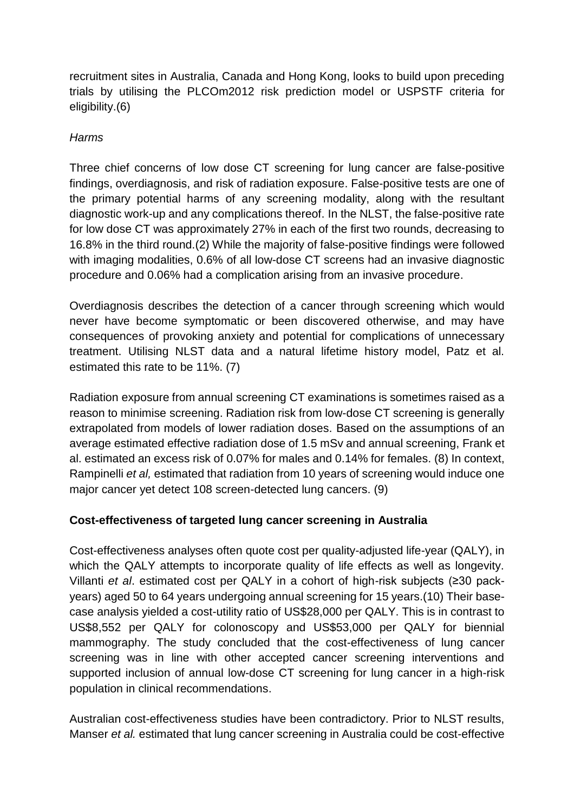recruitment sites in Australia, Canada and Hong Kong, looks to build upon preceding trials by utilising the PLCOm2012 risk prediction model or USPSTF criteria for eligibility.(6)

#### *Harms*

Three chief concerns of low dose CT screening for lung cancer are false-positive findings, overdiagnosis, and risk of radiation exposure. False-positive tests are one of the primary potential harms of any screening modality, along with the resultant diagnostic work-up and any complications thereof. In the NLST, the false-positive rate for low dose CT was approximately 27% in each of the first two rounds, decreasing to 16.8% in the third round.(2) While the majority of false-positive findings were followed with imaging modalities, 0.6% of all low-dose CT screens had an invasive diagnostic procedure and 0.06% had a complication arising from an invasive procedure.

Overdiagnosis describes the detection of a cancer through screening which would never have become symptomatic or been discovered otherwise, and may have consequences of provoking anxiety and potential for complications of unnecessary treatment. Utilising NLST data and a natural lifetime history model, Patz et al. estimated this rate to be 11%. (7)

Radiation exposure from annual screening CT examinations is sometimes raised as a reason to minimise screening. Radiation risk from low-dose CT screening is generally extrapolated from models of lower radiation doses. Based on the assumptions of an average estimated effective radiation dose of 1.5 mSv and annual screening, Frank et al. estimated an excess risk of 0.07% for males and 0.14% for females. (8) In context, Rampinelli *et al,* estimated that radiation from 10 years of screening would induce one major cancer yet detect 108 screen-detected lung cancers. (9)

# **Cost-effectiveness of targeted lung cancer screening in Australia**

Cost-effectiveness analyses often quote cost per quality-adjusted life-year (QALY), in which the QALY attempts to incorporate quality of life effects as well as longevity. Villanti *et al*. estimated cost per QALY in a cohort of high-risk subjects (≥30 packyears) aged 50 to 64 years undergoing annual screening for 15 years.(10) Their basecase analysis yielded a cost-utility ratio of US\$28,000 per QALY. This is in contrast to US\$8,552 per QALY for colonoscopy and US\$53,000 per QALY for biennial mammography. The study concluded that the cost-effectiveness of lung cancer screening was in line with other accepted cancer screening interventions and supported inclusion of annual low-dose CT screening for lung cancer in a high-risk population in clinical recommendations.

Australian cost-effectiveness studies have been contradictory. Prior to NLST results, Manser *et al.* estimated that lung cancer screening in Australia could be cost-effective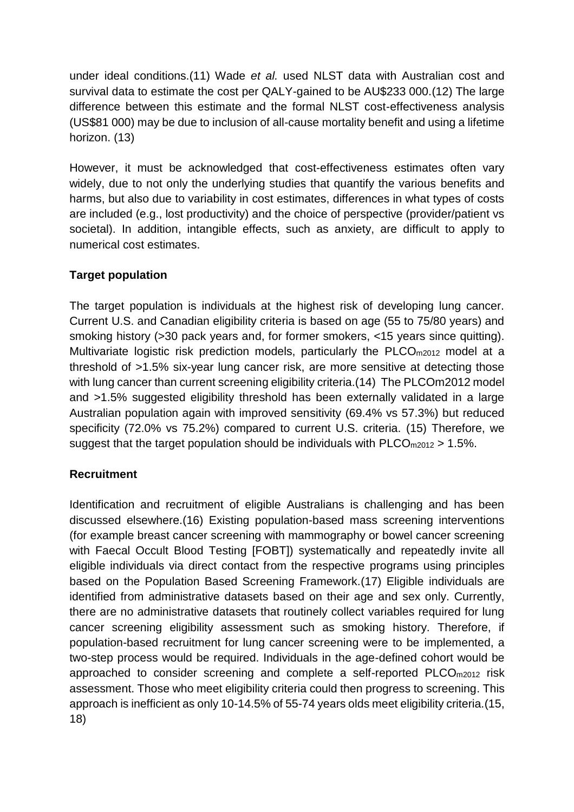under ideal conditions.(11) Wade *et al.* used NLST data with Australian cost and survival data to estimate the cost per QALY-gained to be AU\$233 000.(12) The large difference between this estimate and the formal NLST cost-effectiveness analysis (US\$81 000) may be due to inclusion of all-cause mortality benefit and using a lifetime horizon. (13)

However, it must be acknowledged that cost-effectiveness estimates often vary widely, due to not only the underlying studies that quantify the various benefits and harms, but also due to variability in cost estimates, differences in what types of costs are included (e.g., lost productivity) and the choice of perspective (provider/patient vs societal). In addition, intangible effects, such as anxiety, are difficult to apply to numerical cost estimates.

## **Target population**

The target population is individuals at the highest risk of developing lung cancer. Current U.S. and Canadian eligibility criteria is based on age (55 to 75/80 years) and smoking history (>30 pack years and, for former smokers, <15 years since quitting). Multivariate logistic risk prediction models, particularly the PLCO<sub>m2012</sub> model at a threshold of >1.5% six-year lung cancer risk, are more sensitive at detecting those with lung cancer than current screening eligibility criteria.(14) The PLCOm2012 model and >1.5% suggested eligibility threshold has been externally validated in a large Australian population again with improved sensitivity (69.4% vs 57.3%) but reduced specificity (72.0% vs 75.2%) compared to current U.S. criteria. (15) Therefore, we suggest that the target population should be individuals with  $PLCO_{m2012} > 1.5\%$ .

# **Recruitment**

Identification and recruitment of eligible Australians is challenging and has been discussed elsewhere.(16) Existing population-based mass screening interventions (for example breast cancer screening with mammography or bowel cancer screening with Faecal Occult Blood Testing [FOBT]) systematically and repeatedly invite all eligible individuals via direct contact from the respective programs using principles based on the Population Based Screening Framework.(17) Eligible individuals are identified from administrative datasets based on their age and sex only. Currently, there are no administrative datasets that routinely collect variables required for lung cancer screening eligibility assessment such as smoking history. Therefore, if population-based recruitment for lung cancer screening were to be implemented, a two-step process would be required. Individuals in the age-defined cohort would be approached to consider screening and complete a self-reported PLCOm2012 risk assessment. Those who meet eligibility criteria could then progress to screening. This approach is inefficient as only 10-14.5% of 55-74 years olds meet eligibility criteria.(15, 18)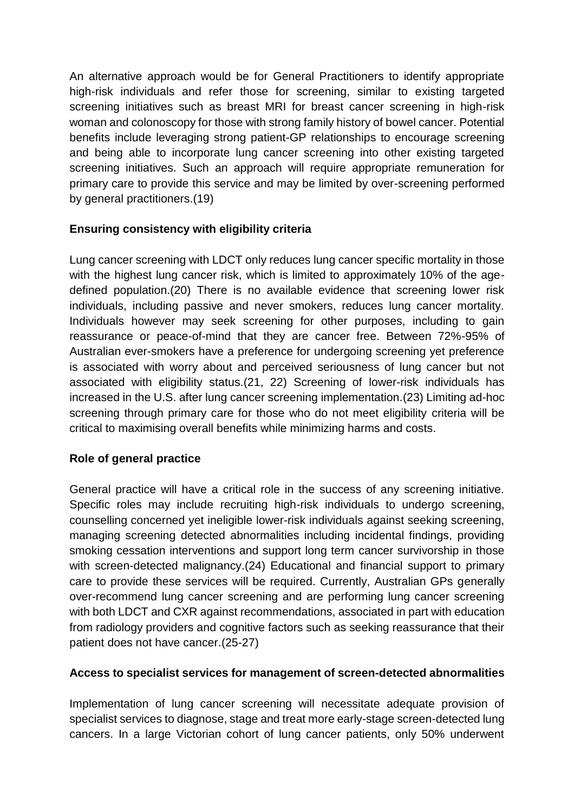An alternative approach would be for General Practitioners to identify appropriate high-risk individuals and refer those for screening, similar to existing targeted screening initiatives such as breast MRI for breast cancer screening in high-risk woman and colonoscopy for those with strong family history of bowel cancer. Potential benefits include leveraging strong patient-GP relationships to encourage screening and being able to incorporate lung cancer screening into other existing targeted screening initiatives. Such an approach will require appropriate remuneration for primary care to provide this service and may be limited by over-screening performed by general practitioners.(19)

## **Ensuring consistency with eligibility criteria**

Lung cancer screening with LDCT only reduces lung cancer specific mortality in those with the highest lung cancer risk, which is limited to approximately 10% of the agedefined population.(20) There is no available evidence that screening lower risk individuals, including passive and never smokers, reduces lung cancer mortality. Individuals however may seek screening for other purposes, including to gain reassurance or peace-of-mind that they are cancer free. Between 72%-95% of Australian ever-smokers have a preference for undergoing screening yet preference is associated with worry about and perceived seriousness of lung cancer but not associated with eligibility status.(21, 22) Screening of lower-risk individuals has increased in the U.S. after lung cancer screening implementation.(23) Limiting ad-hoc screening through primary care for those who do not meet eligibility criteria will be critical to maximising overall benefits while minimizing harms and costs.

#### **Role of general practice**

General practice will have a critical role in the success of any screening initiative. Specific roles may include recruiting high-risk individuals to undergo screening, counselling concerned yet ineligible lower-risk individuals against seeking screening, managing screening detected abnormalities including incidental findings, providing smoking cessation interventions and support long term cancer survivorship in those with screen-detected malignancy.(24) Educational and financial support to primary care to provide these services will be required. Currently, Australian GPs generally over-recommend lung cancer screening and are performing lung cancer screening with both LDCT and CXR against recommendations, associated in part with education from radiology providers and cognitive factors such as seeking reassurance that their patient does not have cancer.(25-27)

#### **Access to specialist services for management of screen-detected abnormalities**

Implementation of lung cancer screening will necessitate adequate provision of specialist services to diagnose, stage and treat more early-stage screen-detected lung cancers. In a large Victorian cohort of lung cancer patients, only 50% underwent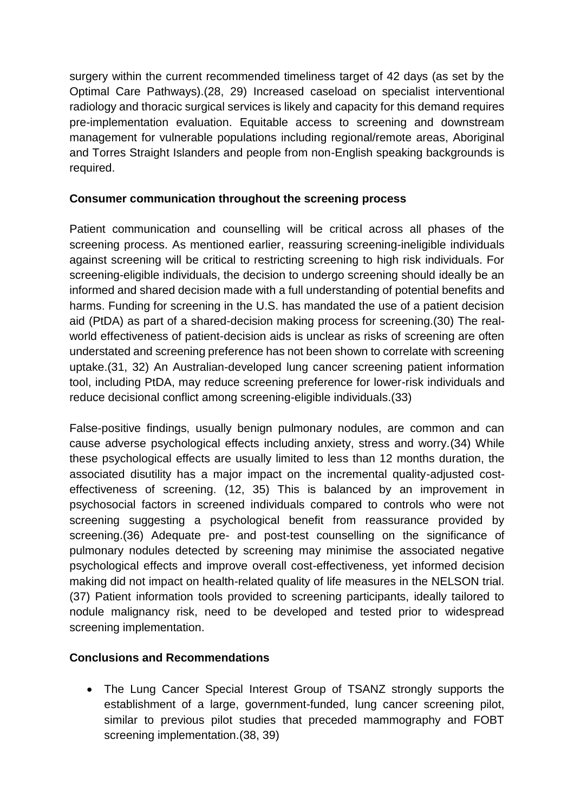surgery within the current recommended timeliness target of 42 days (as set by the Optimal Care Pathways).(28, 29) Increased caseload on specialist interventional radiology and thoracic surgical services is likely and capacity for this demand requires pre-implementation evaluation. Equitable access to screening and downstream management for vulnerable populations including regional/remote areas, Aboriginal and Torres Straight Islanders and people from non-English speaking backgrounds is required.

### **Consumer communication throughout the screening process**

Patient communication and counselling will be critical across all phases of the screening process. As mentioned earlier, reassuring screening-ineligible individuals against screening will be critical to restricting screening to high risk individuals. For screening-eligible individuals, the decision to undergo screening should ideally be an informed and shared decision made with a full understanding of potential benefits and harms. Funding for screening in the U.S. has mandated the use of a patient decision aid (PtDA) as part of a shared-decision making process for screening.(30) The realworld effectiveness of patient-decision aids is unclear as risks of screening are often understated and screening preference has not been shown to correlate with screening uptake.(31, 32) An Australian-developed lung cancer screening patient information tool, including PtDA, may reduce screening preference for lower-risk individuals and reduce decisional conflict among screening-eligible individuals.(33)

False-positive findings, usually benign pulmonary nodules, are common and can cause adverse psychological effects including anxiety, stress and worry.(34) While these psychological effects are usually limited to less than 12 months duration, the associated disutility has a major impact on the incremental quality-adjusted costeffectiveness of screening. (12, 35) This is balanced by an improvement in psychosocial factors in screened individuals compared to controls who were not screening suggesting a psychological benefit from reassurance provided by screening.(36) Adequate pre- and post-test counselling on the significance of pulmonary nodules detected by screening may minimise the associated negative psychological effects and improve overall cost-effectiveness, yet informed decision making did not impact on health-related quality of life measures in the NELSON trial. (37) Patient information tools provided to screening participants, ideally tailored to nodule malignancy risk, need to be developed and tested prior to widespread screening implementation.

# **Conclusions and Recommendations**

• The Lung Cancer Special Interest Group of TSANZ strongly supports the establishment of a large, government-funded, lung cancer screening pilot, similar to previous pilot studies that preceded mammography and FOBT screening implementation.(38, 39)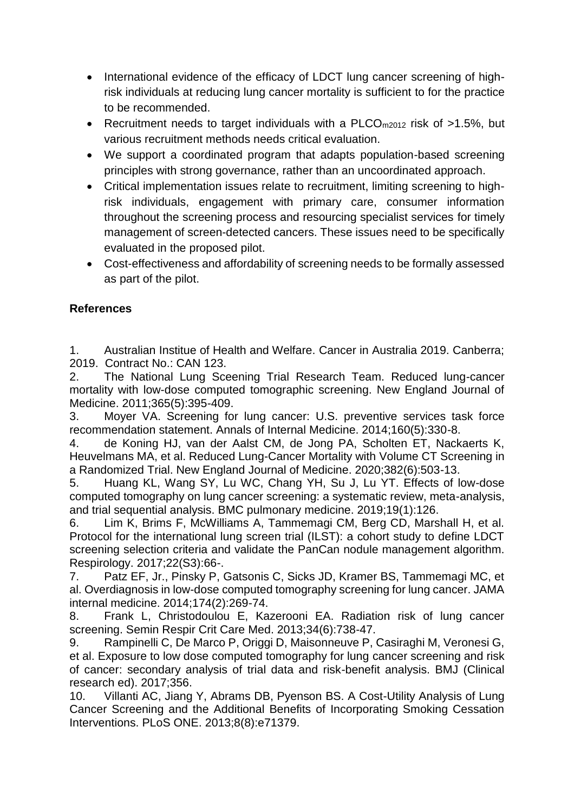- International evidence of the efficacy of LDCT lung cancer screening of highrisk individuals at reducing lung cancer mortality is sufficient to for the practice to be recommended.
- Recruitment needs to target individuals with a PLCO<sub>m2012</sub> risk of >1.5%, but various recruitment methods needs critical evaluation.
- We support a coordinated program that adapts population-based screening principles with strong governance, rather than an uncoordinated approach.
- Critical implementation issues relate to recruitment, limiting screening to highrisk individuals, engagement with primary care, consumer information throughout the screening process and resourcing specialist services for timely management of screen-detected cancers. These issues need to be specifically evaluated in the proposed pilot.
- Cost-effectiveness and affordability of screening needs to be formally assessed as part of the pilot.

# **References**

1. Australian Institue of Health and Welfare. Cancer in Australia 2019. Canberra; 2019. Contract No.: CAN 123.

2. The National Lung Sceening Trial Research Team. Reduced lung-cancer mortality with low-dose computed tomographic screening. New England Journal of Medicine. 2011;365(5):395-409.

3. Moyer VA. Screening for lung cancer: U.S. preventive services task force recommendation statement. Annals of Internal Medicine. 2014;160(5):330-8.

4. de Koning HJ, van der Aalst CM, de Jong PA, Scholten ET, Nackaerts K, Heuvelmans MA, et al. Reduced Lung-Cancer Mortality with Volume CT Screening in a Randomized Trial. New England Journal of Medicine. 2020;382(6):503-13.

5. Huang KL, Wang SY, Lu WC, Chang YH, Su J, Lu YT. Effects of low-dose computed tomography on lung cancer screening: a systematic review, meta-analysis, and trial sequential analysis. BMC pulmonary medicine. 2019;19(1):126.

6. Lim K, Brims F, McWilliams A, Tammemagi CM, Berg CD, Marshall H, et al. Protocol for the international lung screen trial (ILST): a cohort study to define LDCT screening selection criteria and validate the PanCan nodule management algorithm. Respirology. 2017;22(S3):66-.

7. Patz EF, Jr., Pinsky P, Gatsonis C, Sicks JD, Kramer BS, Tammemagi MC, et al. Overdiagnosis in low-dose computed tomography screening for lung cancer. JAMA internal medicine. 2014;174(2):269-74.

8. Frank L, Christodoulou E, Kazerooni EA. Radiation risk of lung cancer screening. Semin Respir Crit Care Med. 2013;34(6):738-47.

9. Rampinelli C, De Marco P, Origgi D, Maisonneuve P, Casiraghi M, Veronesi G, et al. Exposure to low dose computed tomography for lung cancer screening and risk of cancer: secondary analysis of trial data and risk-benefit analysis. BMJ (Clinical research ed). 2017;356.

10. Villanti AC, Jiang Y, Abrams DB, Pyenson BS. A Cost-Utility Analysis of Lung Cancer Screening and the Additional Benefits of Incorporating Smoking Cessation Interventions. PLoS ONE. 2013;8(8):e71379.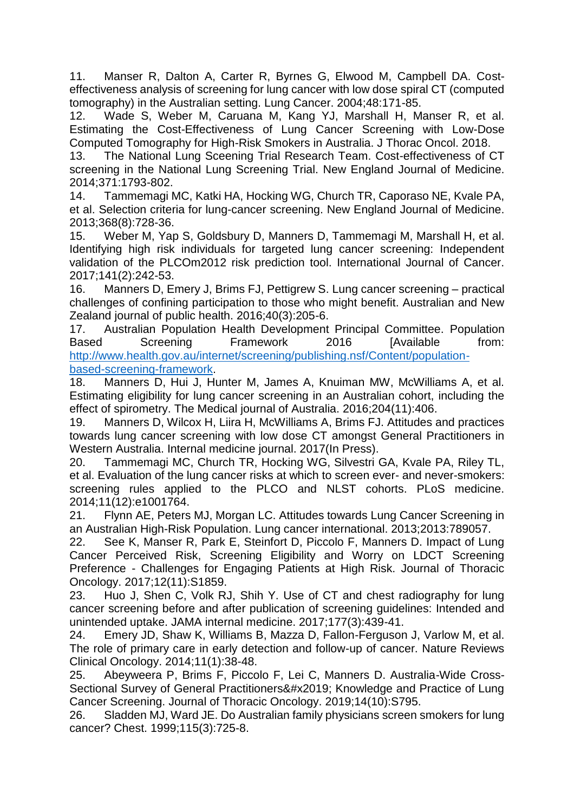11. Manser R, Dalton A, Carter R, Byrnes G, Elwood M, Campbell DA. Costeffectiveness analysis of screening for lung cancer with low dose spiral CT (computed tomography) in the Australian setting. Lung Cancer. 2004;48:171-85.

12. Wade S, Weber M, Caruana M, Kang YJ, Marshall H, Manser R, et al. Estimating the Cost-Effectiveness of Lung Cancer Screening with Low-Dose Computed Tomography for High-Risk Smokers in Australia. J Thorac Oncol. 2018.

13. The National Lung Sceening Trial Research Team. Cost-effectiveness of CT screening in the National Lung Screening Trial. New England Journal of Medicine. 2014;371:1793-802.

14. Tammemagi MC, Katki HA, Hocking WG, Church TR, Caporaso NE, Kvale PA, et al. Selection criteria for lung-cancer screening. New England Journal of Medicine. 2013;368(8):728-36.

15. Weber M, Yap S, Goldsbury D, Manners D, Tammemagi M, Marshall H, et al. Identifying high risk individuals for targeted lung cancer screening: Independent validation of the PLCOm2012 risk prediction tool. International Journal of Cancer. 2017;141(2):242-53.

16. Manners D, Emery J, Brims FJ, Pettigrew S. Lung cancer screening – practical challenges of confining participation to those who might benefit. Australian and New Zealand journal of public health. 2016;40(3):205-6.

17. Australian Population Health Development Principal Committee. Population Based Screening Framework 2016 [Available from: [http://www.health.gov.au/internet/screening/publishing.nsf/Content/population](http://www.health.gov.au/internet/screening/publishing.nsf/Content/population-based-screening-framework)[based-screening-framework.](http://www.health.gov.au/internet/screening/publishing.nsf/Content/population-based-screening-framework)

18. Manners D, Hui J, Hunter M, James A, Knuiman MW, McWilliams A, et al. Estimating eligibility for lung cancer screening in an Australian cohort, including the effect of spirometry. The Medical journal of Australia. 2016;204(11):406.

19. Manners D, Wilcox H, Liira H, McWilliams A, Brims FJ. Attitudes and practices towards lung cancer screening with low dose CT amongst General Practitioners in Western Australia. Internal medicine journal. 2017(In Press).

20. Tammemagi MC, Church TR, Hocking WG, Silvestri GA, Kvale PA, Riley TL, et al. Evaluation of the lung cancer risks at which to screen ever- and never-smokers: screening rules applied to the PLCO and NLST cohorts. PLoS medicine. 2014;11(12):e1001764.

21. Flynn AE, Peters MJ, Morgan LC. Attitudes towards Lung Cancer Screening in an Australian High-Risk Population. Lung cancer international. 2013;2013:789057.

22. See K, Manser R, Park E, Steinfort D, Piccolo F, Manners D. Impact of Lung Cancer Perceived Risk, Screening Eligibility and Worry on LDCT Screening Preference - Challenges for Engaging Patients at High Risk. Journal of Thoracic Oncology. 2017;12(11):S1859.

23. Huo J, Shen C, Volk RJ, Shih Y. Use of CT and chest radiography for lung cancer screening before and after publication of screening guidelines: Intended and unintended uptake. JAMA internal medicine. 2017;177(3):439-41.

24. Emery JD, Shaw K, Williams B, Mazza D, Fallon-Ferguson J, Varlow M, et al. The role of primary care in early detection and follow-up of cancer. Nature Reviews Clinical Oncology. 2014;11(1):38-48.

25. Abeyweera P, Brims F, Piccolo F, Lei C, Manners D. Australia-Wide Cross-Sectional Survey of General Practitioners' Knowledge and Practice of Lung Cancer Screening. Journal of Thoracic Oncology. 2019;14(10):S795.

26. Sladden MJ, Ward JE. Do Australian family physicians screen smokers for lung cancer? Chest. 1999;115(3):725-8.